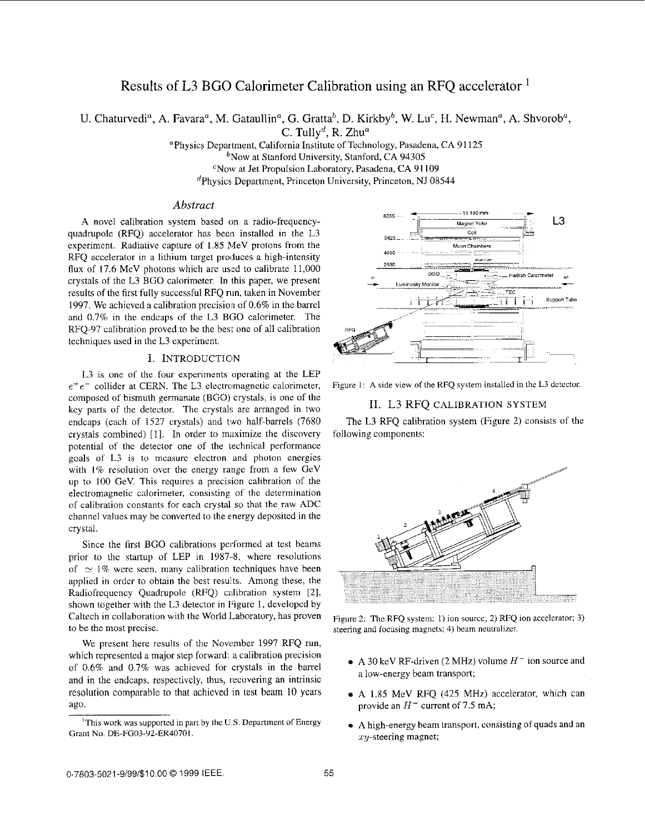# Results of L3 BGO Calorimeter Calibration using an RFQ accelerator

U. Chaturvedi<sup>a</sup>, A. Favara<sup>a</sup>, M. Gataullin<sup>a</sup>, G. Gratta<sup>b</sup>, D. Kirkby<sup>b</sup>, W. Lu<sup>c</sup>, H. Newman<sup>a</sup>, A. Shvorob<sup>a</sup>,

C. Tully<sup>d</sup>, R. Zhu<sup>a</sup>

aPhysics Department, California Institute of Technology, Pasadena, CA 91 125  $b$ Now at Stanford University, Stanford, CA 94305 CNow at Jet Propulsion Laboratory, Pasadena, CA 91 109 dPhysics Department, Princeton University, Princeton, NJ 08544

# *Abstract*

A novel calibration system based on a radio-frequencyquadrupole (RFQ) accelerator has been installed in the L3 experiment. Radiative capture of 1.85 MeV protons from the RFQ accelerator in a lithium target produces a high-intensity flux of 17.6 MeV photons which are wed to calibrate 11,000 crystals of the L3 BGO calorimeter. In this paper, we present results of the first fully succcssful RFQ rim, taken in November 1997. We achieved a calibration precision of 0.6% in the barrel and 0.7% in the endcaps of the L3 BGO calorimeter. The RFQ-97 calibration proved to be the best one of all calibration techniques used in the L3 experiment.

### I. INTRODUCTION

L3 is one of the four experiments operating at the LEP  $e^+e^-$  collider at CERN. The L3 electromagnetic calorimeter, composed of bismuth germanate (BGO) crystals, is one of the kcy parts of the detector. The crystals are arranged in two endcaps (cach of 1527 crystals) and two half-barrels (7680 crystals combined) [I]. In order to maximize the discovery potential of thc detector one of the technical performance goals of L3 is to measure electron and photon energies with  $1\%$  resolution over the energy range from a few GeV up to 100 GeV. This requires a precision calibration of the electromagnetic calorimeter, consisting of the determination of calibration constants for each crystal so that the raw ADC channel values may be converted to the energy deposited in the crystal.

Since the first BGO calibrations performed at test beams prior to the startup of LEP in 1987-8, where resolutions of  $\approx$  1% were seen, many calibration techniques have been applied in ordcr to obtain the best results. Among these, the Radiofrequency Quadrupole (RFQ) calibration system [2], shown together with the L3 detector in Figure **I,** developed by Caltech in collaboration with the World Laboratory, has proven to be the most precise.

We present here results of the November 1997 RFQ run, which represented a major step forward: a calibration precision of 0.6% and 0.7% was achieved for crystals in the barrel and in the endcaps, respectivcly, thus, recovering an intrinsic resolution comparable to that achieved in test beam 10 years ago.



Figure I: **A** side **view** of the RFQ system installed in the L3 detector.

# 11. L3 RFQ CALIBRATION SYSTEM

The L3 RFQ calibration system (Figure 2) consists of the following components:



Figure 2: The RFQ system: 1) ion source; 2) RFQ ion accelerator; 3) steering and focusing magnets; 4) beam neutralizer.

- $\bullet$  A 30 keV RF-driven (2 MHz) volume  $H^-$  ion source and a low-energy beam transport;
- A 1.85 MeV RFQ (425 MHz) accelerator, which can provide an  $H^-$  current of 7.5 mA;
- A high-energy beam transport, consisting of quads and an  $xy$ -steering magnet;

<sup>&#</sup>x27;This **work was** supported in part by the **U.S.** Department of Energy Grant No. DE-FGO3-92-ER40701.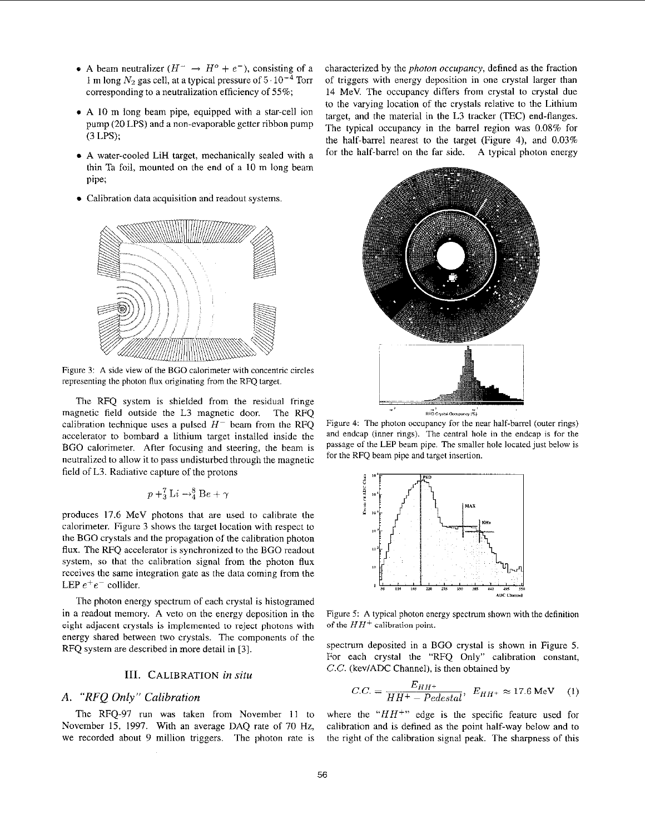- A beam neutralizer  $(H^- \rightarrow H^o + e^-)$ , consisting of a 1 m long  $N_2$  gas cell, at a typical pressure of  $5 \cdot 10^{-4}$  Torr corresponding to a neutralization efficiency of *55%;*
- *8* A IO m long heam pipe, equipped with a star-cell ion pump (20 LPS) and a non-evaporable getter ribbon pump (3 LPS);
- A water-cooled LiH target, mechanically sealed with **a**  thin Ta foil, mounted on the end of a 10 m long beam pipe;
- Calibration data acquisition and readout systems.



Figure 3: **A** side view of the BGO calorimeter with concentric circles representing the photon flux originating from the RFQ target.

The RFQ system is shielded from the residual fringe magnetic field outside the L3 magnetic door. The RFQ calibration technique uses a pulsed  $H^-$  beam from the RFQ accelerator to bombard a lithium target installed inside the BGO calorimeter. After focusing and steering, the beam is neutralized to allow it to pass undisturbed through the magnetic field of L3. Radiative capture of the protons<br>  $p + \frac{7}{3} \text{Li} \rightarrow \frac{8}{4} \text{Be} + \gamma$ 

$$
p + ^{7}_{3}Li \rightarrow ^{8}_{4}Be + \gamma
$$

produces 17.6 MeV photons that are used to calibrate the calorimeter. Figure 3 shows the target location with respect to the BGO crystals and the propagation of the calibration photon **flux.** The RFQ accelerator is synchronized to the BGO readout system, so that thc calibration signal from the photon **flux**  receives the same integration gate as the data coming from the LEP *e+e-* collider.

The photon energy spectrum of each crystal is histogramed in a readout memory. A veto on the energy deposition in the eight **adjacent** crystals is implemented to reject photons with energy shared between two crystals. The components of the RFQ system are described in more detail in **[3].** 

#### **111.** CALIBRATION *in situ*

# **A.** *"RFQ Only" Calibration*

The RFQ-97 run was taken from November 11 to November 15, 1997. With an average DAQ rate of 70 **Hz,**  we recorded about 9 million triggers. The photon rate is characterized by the *photon occupancy,* defined as the fraction of triggers with energy deposition in one crystal larger than 14 MeV. The occupancy differs from crystal to crystal due to the varying location of the crystals relative to the Lithium target, and the material in the L3 tracker (TEC) end-flanges. The typical occupancy in the barrel region was 0.08% for the half-barrel nearest to the target (Figure 4), and 0.03% for the half-barrel on the far side. A typical photon energy



Figure 4: The photon occupancy for the near half-barrel (outer rings) and endcap (inner rings). The central hole in the endcap is for the passage of the LEP beam pipe. The smaller hole located just below is for the RFQ beam pipe and target insertion



Figure *5:* **A** typical photon energy spectrum shown with the definition of the *HH+* calibration **point.** 

spectrum deposited in a BGO crystal is shown in Figure 5. For each crystal the "RFQ Only" calibration constant, *C.C.* (kev/ADC Channel), is then obtained by

$$
C.C. = \frac{E_{HH^+}}{HH^+ - Pedestal}, \ E_{HH^+} \approx 17.6 \text{ MeV} \quad (1)
$$

where the *"HH+"* edge is the specific feature used for calibration and is defined as the point half-way below and to the right of the calibration signal peak. The sharpness of this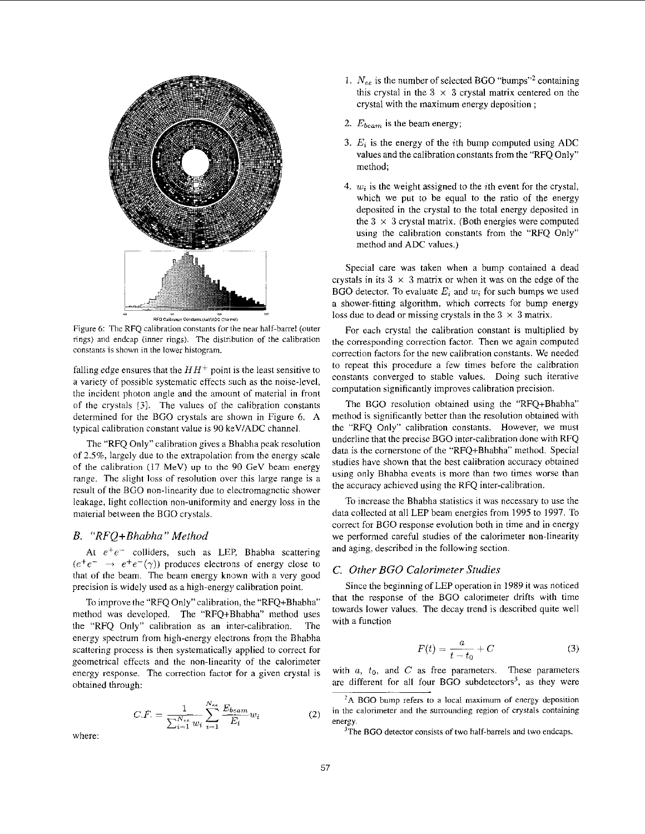

eo<br>RFQ Calibration Constants (keV/ADC Charinel)

Figure **6:** The RFQ calibration constants for the near half-barrel (outer rings) and endcap (inner rings). The distribution of the calibration constants is shown in the lower histogram.

falling edge ensures that the  $HH^+$  point is the least sensitive to a variety of possiblc systematic effects such as the noise-level, the incident photon angle and thc amount of material in front of the crystals *[3].* The values of the calibration constants determined for the BGO crystals are shown in Figure 6. A typical calibration constant value **is** 90 keVIADC channel.

The "RFQ Only" calibration gives a Bhabha peak resolution of 2.5%, largely due to the extrapolation from the energy scale of the calibration (17 MeV) up to the 90 GeV beam energy range. The slight loss of resolution over this large range is a result of the BGO non-linearity due to electromagnetic shower leakage, light collection non-uniformity and encrgy loss in the material between the BGO crystals.

#### *B. "RFQ+Bhabha" Method*

At  $e^+e^-$  colliders, such as LEP, Bhabha scattering  $(e^+e^- \rightarrow e^+e^-(\gamma))$  produces electrons of energy close to that of the beam. The beam energy known with a very good precision is widely used as a high-energy calibration point.

To improve the "RFQ Only" calibration, the "RFQ+Bhabha" method was developed. The "RFQ+Bhabha" method uses the "RFQ Only'' calibration as an inter-calibration. The energy spectrum from high-energy electrons from the Bhabha scattering process is then systematically applied to correct for geometrical effccts and the non-linearity of the calorimeter energy response. The correction factor for a given crystal is obtained through:

$$
C.F. = \frac{1}{\sum_{i=1}^{N_{ee}} w_i} \sum_{i=1}^{N_{ee}} \frac{E_{beam}}{E_i} w_i
$$
 (2)

where:

- 1.  $N_{ee}$  is the number of selected BGO "bumps"<sup>2</sup> containing this crystal in the  $3 \times 3$  crystal matrix centered on the crystal with the maximum energy deposition ;
- 2. **Ebeam** is the beam energy;
- 3.  $E_i$  is the energy of the *i*th bump computed using ADC values and the calibration constants from the "RFQ Only" method;
- 4.  $w_i$  is the weight assigned to the *i*th event for the crystal, which we put to be equal to the ratio of the energy deposited in the crystal to the total energy deposited in the  $3 \times 3$  crystal matrix. (Both energies were computed using the calibration constants from the "RFQ Only" method and ADC values.)

Special care was taken when a bump contained a dead crystals in its  $3 \times 3$  matrix or when it was on the edge of the BGO detector. To evaluate  $E_i$  and  $w_i$  for such bumps we used a shower-fitting algorithm, which corrects for bump energy loss due to dead or missing crystals in the  $3 \times 3$  matrix.

For each crystal the calibration constant is multiplied by the corresponding correction factor. Then we again computed correction factors for the new calibration constants. We needcd to repeat this procedure a few rimes before the calibration constants converged to stable values. Doing such iterative computation significantly improves calibration precision.

The BGO resolution obtained using the "RFQ+Bhabha" method is significantly better than the resolution obtained with the "RFQ Only" calibration constants. However, we must underline that the precise BGO inter-calibration done with RFQ data is the cornerstone of the "RFQ+Bhabha" method. Special studies have shown that the hest calibration accuracy obtained using only Bhabha events is more than two times worse than the accuracy achieved using the RFQ inter-calibration.

To increase the Bhabha statistics it was necessary to use the data collected at all LEP beam energies from 1995 to 1997. To correct for BGO response evolution both in time and in energy we performed careful studies of the calorimeter non-linearity and aging, described in the following section.

#### *C. Other BGO Calorimeter Studies*

Since the beginning of LEP operation in 1989 it was noticed that the response of the BGO calorimeter drifts with time towards lower values. The decay trend is described quite well with a function

$$
F(t) = \frac{a}{t - t_0} + C \tag{3}
$$

with  $a$ ,  $t_0$ , and  $C$  as free parameters. These parameters are different for all four BGO subdetectors<sup>3</sup>, as they were

**<sup>&#</sup>x27;A** BGO bump refers *to* a local maximum **of** energy deposition in the calorimeter and the surrounding region of *crystals* containing energy.

<sup>&#</sup>x27;The BGO detector consists of two half-barrels and **two** endcaps.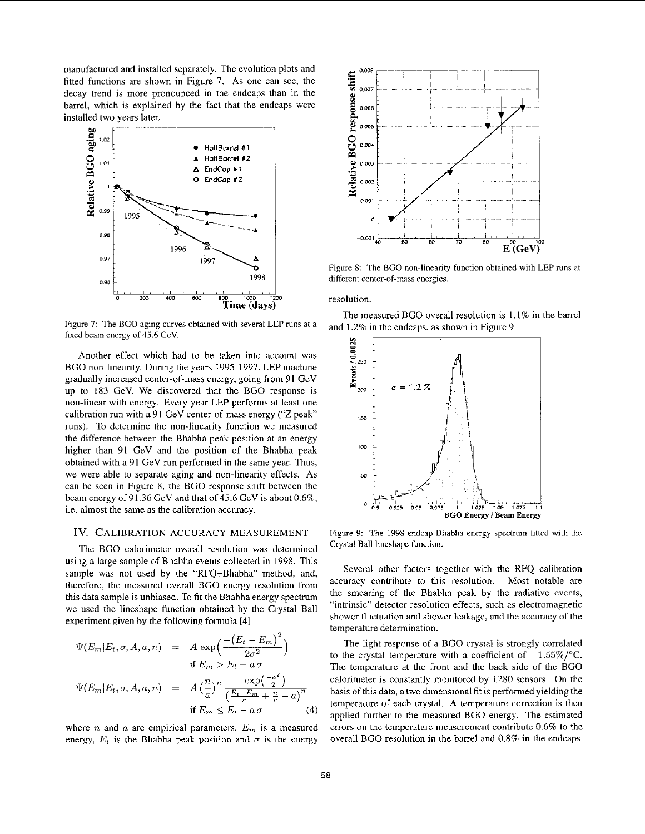manufactured and installed separately. The evolution plots and fitted functions are shown in Figure 7. As one can see, the decay trend is more pronounced in the endcaps than in the barrel, which is explained by the fact that the endcaps were installed two years later.



Figure 7: The BGO aging curves obtained with several LEP runs at a fixed beam energy of 45.6 GeV.

Another effect which had to be taken into account was BGO non-linearity. During the years 1995-1997, LEP machine gradually increased center-of-mass energy, going from 91 GeV up to 183 GeV. We discovered that the BGO response is non-linear with energy. Every year LEP performs at least one calibration run with a 91 GeV center-of-mass energy ("Z peak" runs). To determine the non-linearity function we measured the difference between the Bhabha peak position at an energy higher than 91 GeV and the position of the Bhabha peak obtained with a 91 GeV run performed in the same year. Thus, we were able to separate aging and non-linearity effects. **As**  can be seen in Figure 8, the BGO response shift between the beam energy of 91.36 GeV and that of 45.6 GeV is about  $0.6\%$ , i.e. almost the same as the calibration accuracy.

### Iv. CALIBRATION ACCURACY MEASUREMENT

The BGO calorimeter overall resolution was determined using a large sample of Bhabha events collected in 1998. This sample was not used by the "RFQ+Bhabha" method, and, therefore, the measured overall BGO energy resolution from this data sample is unbiased. To fit the Bhabha energy spectrum we used the lineshape function obtained by the Crystal Ball experiment given by the following formula [41

$$
\Psi(E_m|E_t, \sigma, A, a, n) = A \exp\left(\frac{-(E_t - E_m)^2}{2\sigma^2}\right)
$$
  
if  $E_m > E_t - a\sigma$   

$$
\Psi(E_m|E_t, \sigma, A, a, n) = A\left(\frac{n}{a}\right)^n \frac{\exp\left(-\frac{a^2}{2}\right)}{\left(\frac{E_t - E_m}{\sigma} + \frac{n}{a} - a\right)^n}
$$
  
if  $E_m \le E_t - a\sigma$  (4)

where  $n$  and  $a$  are empirical parameters,  $E_m$  is a measured energy,  $E_t$  is the Bhabha peak position and  $\sigma$  is the energy



Figure 8: The BGO non-linearity function obtained with LEP runs at different center-of-mass energies.

resolution

The measured BGO overall resolution is 1.1% in the barrel and 1.2% in the endcaps, as shown in Figure 9.



Figure 9: The 1998 endcap Bhabha energy spectrum fitted with the Crystal Ball lineshape function.

Several other factors together with the RFQ calibration accuracy contribute to this resolution. Most notable are the smearing of the Bhabha peak by the radiative events, "intrinsic" detector resolution effects, such as electromagnetic shower fluctuation and shower leakage, and the accuracy of the temperature determination.

The light response of a BGO crystal **is** strongly correlated to the crystal temperature with a coefficient of  $-1.55\%$ /°C. The temperature at the front and the back side of the BGO calorimeter is constantly monitored by 1280 sensors. On the basis of this data, atwo dimensional fit is performed yielding the temperature of each crystal. **A** temperature correction is then applied further to the measured BGO energy. The estimated errors on the temperature measurement contribute 0.6% to the overall BGO resolution in the barrel and 0.8% in the endcaps.